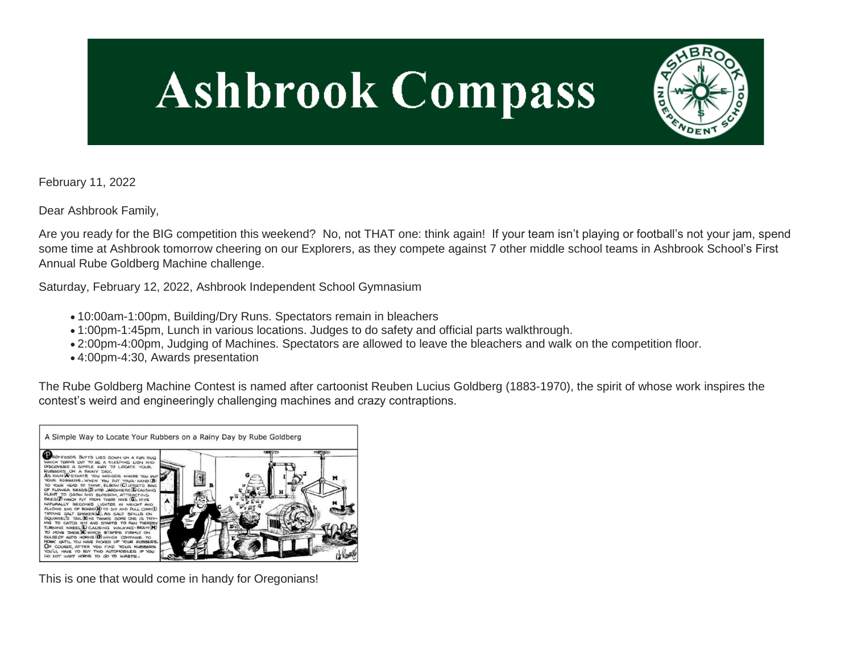# **Ashbrook Compass**



February 11, 2022

Dear Ashbrook Family,

Are you ready for the BIG competition this weekend? No, not THAT one: think again! If your team isn't playing or football's not your jam, spend some time at Ashbrook tomorrow cheering on our Explorers, as they compete against 7 other middle school teams in Ashbrook School's First Annual Rube Goldberg Machine challenge.

Saturday, February 12, 2022, Ashbrook Independent School Gymnasium

- 10:00am-1:00pm, Building/Dry Runs. Spectators remain in bleachers
- 1:00pm-1:45pm, Lunch in various locations. Judges to do safety and official parts walkthrough.
- 2:00pm-4:00pm, Judging of Machines. Spectators are allowed to leave the bleachers and walk on the competition floor.
- 4:00pm-4:30, Awards presentation

The Rube Goldberg Machine Contest is named after cartoonist Reuben Lucius Goldberg (1883-1970), the spirit of whose work inspires the contest's weird and engineeringly challenging machines and crazy contraptions.



This is one that would come in handy for Oregonians!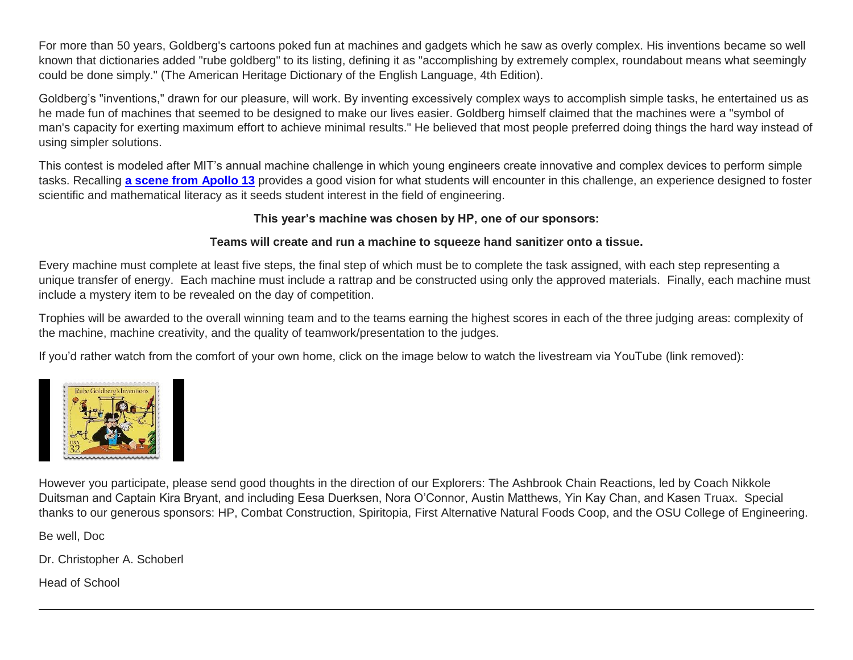For more than 50 years, Goldberg's cartoons poked fun at machines and gadgets which he saw as overly complex. His inventions became so well known that dictionaries added "rube goldberg" to its listing, defining it as "accomplishing by extremely complex, roundabout means what seemingly could be done simply." (The American Heritage Dictionary of the English Language, 4th Edition).

Goldberg's "inventions," drawn for our pleasure, will work. By inventing excessively complex ways to accomplish simple tasks, he entertained us as he made fun of machines that seemed to be designed to make our lives easier. Goldberg himself claimed that the machines were a "symbol of man's capacity for exerting maximum effort to achieve minimal results." He believed that most people preferred doing things the hard way instead of using simpler solutions.

This contest is modeled after MIT's annual machine challenge in which young engineers create innovative and complex devices to perform simple tasks. Recalling **[a scene from Apollo 13](http://link.mystudentsprogress.com/ls/click?upn=5XDbAd9r0ovG7GZusFBG8PfeZw8-2F7u87HLkeZtu3xvhBPXf5JaK7qQFu4L44QdLHQxnnFD6gX8d0k3D19it45A-3D-3DEgfn_1PndbFfBoQGSZbxwXHHEexw3B2F0fG-2BUmuXm6a-2BX-2Bzvu4c5aehcUrTY8GRA9UbiQYaX3fevA6wOdHNDh9DPEf5XQMzhJtQEgvf0sg7BAFu2gPeCDANP6vK-2Fjw3l0dIKpaxRD25KoIW6ualrsxjl2GtrV1u6kkNCZ2d4OBoa4hj5Egdlj9xAmeBxtenJDBiBM2YXPUY1qYrfWpX-2FFqjTVYH-2BZY9nEx0Jrzz0y4nz6WvSOsksvuD11eCAyBEmxTvLlLN77MrK4JHkKY0XSNVecRAv8RU0rrT219IAz6gW46u5BHdvruKSBT8vUcs-2FK1ObKGCzWwPfKnURMRwkRKqm7ZKVLDccms3-2FF7DKVnZVwNIbWQbGJTiNqCVvAOjrikrgj3CRzfaVrnG8UZ0flDH2C0IkWIyxjw0uIESYfQxkEm77sCR38uMFQSIblecGUWMOa)** provides a good vision for what students will encounter in this challenge, an experience designed to foster scientific and mathematical literacy as it seeds student interest in the field of engineering.

#### **This year's machine was chosen by HP, one of our sponsors:**

# **Teams will create and run a machine to squeeze hand sanitizer onto a tissue.**

Every machine must complete at least five steps, the final step of which must be to complete the task assigned, with each step representing a unique transfer of energy. Each machine must include a rattrap and be constructed using only the approved materials. Finally, each machine must include a mystery item to be revealed on the day of competition.

Trophies will be awarded to the overall winning team and to the teams earning the highest scores in each of the three judging areas: complexity of the machine, machine creativity, and the quality of teamwork/presentation to the judges.

If you'd rather watch from the comfort of your own home, click on the image below to watch the livestream via YouTube (link removed):



However you participate, please send good thoughts in the direction of our Explorers: The Ashbrook Chain Reactions, led by Coach Nikkole Duitsman and Captain Kira Bryant, and including Eesa Duerksen, Nora O'Connor, Austin Matthews, Yin Kay Chan, and Kasen Truax. Special thanks to our generous sponsors: HP, Combat Construction, Spiritopia, First Alternative Natural Foods Coop, and the OSU College of Engineering.

Be well, Doc

Dr. Christopher A. Schoberl

Head of School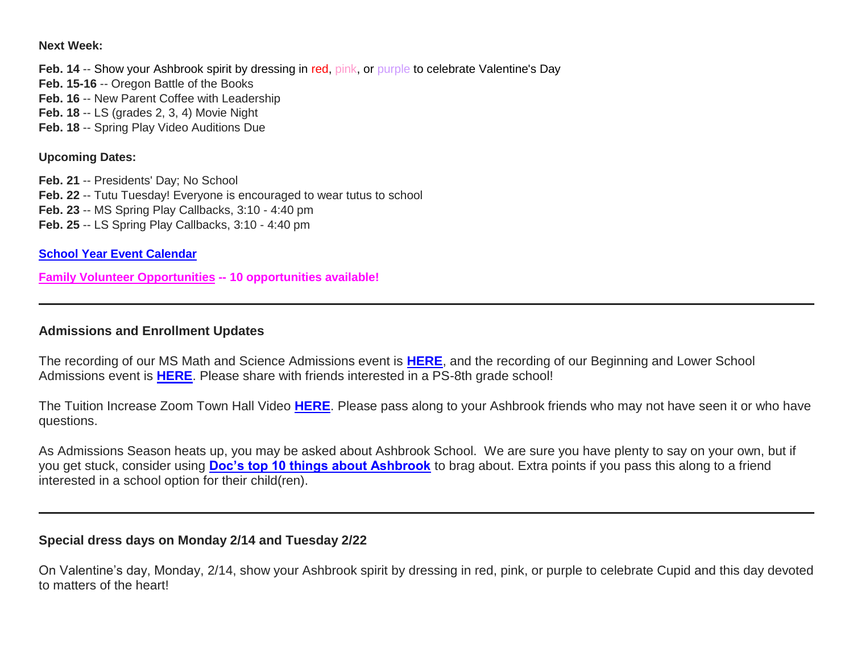#### **Next Week:**

**Feb. 14** -- Show your Ashbrook spirit by dressing in red, pink, or purple to celebrate Valentine's Day **Feb. 15-16** -- Oregon Battle of the Books **Feb. 16 -- New Parent Coffee with Leadership Feb. 18** -- LS (grades 2, 3, 4) Movie Night **Feb. 18** -- Spring Play Video Auditions Due

#### **Upcoming Dates:**

**Feb. 21** -- Presidents' Day; No School **Feb. 22** -- Tutu Tuesday! Everyone is encouraged to wear tutus to school **Feb. 23** -- MS Spring Play Callbacks, 3:10 - 4:40 pm **Feb. 25** -- LS Spring Play Callbacks, 3:10 - 4:40 pm

**[School Year Event Calendar](http://link.mystudentsprogress.com/ls/click?upn=n7jYKe39nC4PrVAw2BzaOolgU5XUleaJ61qfvNJxTW3uoi8RFzNYUfSc1qXdqajA34djZWrxIBJBxzp2whbybvqIYp3dDOkCDgKesziBdCm1u7J5UB6bwQicng-2BhFj8jm5vDG0tBEB0sO-2FO3RXilW8Csk5oOSfGUUXvh5WSdqhuxZmYzYNrapCD6i2aW2bQAQjvP_1PndbFfBoQGSZbxwXHHEexw3B2F0fG-2BUmuXm6a-2BX-2Bzvu4c5aehcUrTY8GRA9UbiQYaX3fevA6wOdHNDh9DPEf-2FEjrqqWD6TyM1rhSthzuQgE8tva02VXKDUBZx2WVcknXbetESJcjbKNcNgi4-2Bu8sRQVZLUfyMQdWuMP2tOW-2BTbBkL2PggZyf48DkWNlyOCnZ3izC4s9F9-2BEjaJJ-2F2tpFU2VzAka8kKM4C1-2FiPyZ14FuDajq1UAyLDGXh2mvEqMAcxKhylbRzzyerb5TpN17k5oEIQwu-2FV7MaLkUpOci2kwueCXdcfiwkBnHTt-2B26aMdpURjP9uhsgzcH-2Bsym-2BsvicNzU0q9MO5k4p9UVc7iItR2i4VKv3VIuoD7hSGxpXNkjlfqxpL9NtyZswLU78gVAZXivZZkTH-2BY-2BOWwpNkeIwiBx5RUyxHMa8XsYxaLR1A8)**

**[Family Volunteer Opportunities](http://link.mystudentsprogress.com/ls/click?upn=VpBe6Z9t6RkEC4qAoQCerkRqVNRJCi4SE2bZPjoSvlxSlLFpfnUYhuutAutUGnBh84nj-2BJvhJlx1K1dJMDDqBY1qLZ1O0nCcHebienBZj-2BKxsXBin-2FugM50Q-2FqN8cLG3Urd1ZQzGcMWtkFleXRzacA-3D-3DGmvI_1PndbFfBoQGSZbxwXHHEexw3B2F0fG-2BUmuXm6a-2BX-2Bzvu4c5aehcUrTY8GRA9UbiQYaX3fevA6wOdHNDh9DPEf5EF2ozZasE-2B6enWHPqcqMpObdigIl00k-2FJSIWRxG-2BSye5syfbQmBUiPU7DdLMRDfXX75-2FgkMnLzh6DTfBq5608yH0FmVgzz6uZ9tKAEfD-2B8cYSAQ0S-2BUyVmFpzqA1FJAKzQgjIl-2FnnzLRI1qLjmH-2FJNbLDcn56P6EjxieNDHX7W-2Fh1mZX55dfxanqHelbZ-2Ff7L25DqA7dn03wJqhc01C32X71ANh0RJzcXbsfg37fhoIftUrZ73HD6Wy436yGGK2JR461cM0k11jhRa4zfWhHyYdg4GRkTmdDLIS-2FddVj5kWk9wSv69U5Qh4gttg1tEFAbI4NrwpY0IE2uKu4SC8rf-2Fpob3n6fS3A-2FGWa-2F1wn8z) -- 10 opportunities available!**

#### **Admissions and Enrollment Updates**

The recording of our MS Math and Science Admissions event is **[HERE](http://link.mystudentsprogress.com/ls/click?upn=VpBe6Z9t6RkEC4qAoQCertKzhjEDinKc0CfI3IvbCQcWMZhEmzIOaoE1rrVAI5L8ZO7XS8Tv5hSiIMalu6EJjFdSXAB1MJgDbipgTchacIMQC7cctiR95mwGaC-2BAobNJ2Hxs_1PndbFfBoQGSZbxwXHHEexw3B2F0fG-2BUmuXm6a-2BX-2BzvevY1G5c9S3Pp9WIfT-2BHpGz1aoCvg5JnmNtgjXPgeMl-2BZWxefKTtM1PBwQe03UkmbmwtAtIF52yczglVonp-2BKf5oZYUOJNsFFB8KJmiVqq3Ws9GvILV1PZciZ4hqD-2FV34qih7-2Bd7h-2BCTbxeMTXPq-2BhgBND2ICdOA2IbeSWG6g3qn0W1HHQqQfx2Zf0EgiQn0rYxl-2Bv4D3rTu3glIBkWzQo4GSksX7wBFqe4Hi60YkT1xnaWEYws9KYsEbc8He11LnPSi70FTtjWQt00VJj53oQDFyTyYWVqwmN38CGbM2G39fEGhtWoT2dt14qkKcR0kJ7TQEHdgd6sVhMovl7X4UGmIuXws5zTguukzxLNyiPee-2BoyQDvPsPqzJ5X09ijobTcDoN69UJ-2Fxohfxzwtgaeq)**, and the recording of our Beginning and Lower School Admissions event is **[HERE](http://link.mystudentsprogress.com/ls/click?upn=VpBe6Z9t6RkEC4qAoQCertKzhjEDinKc0CfI3IvbCQc3YkVB59vPRjWIBMlJ3N2pXmp5NzGhyg5kZsmzkrcc39OxqSVp3Wax2puaDv2NPnuKHuL1k92wO-2Brr3CQ-2BzQw6DG4s_1PndbFfBoQGSZbxwXHHEexw3B2F0fG-2BUmuXm6a-2BX-2Bzvu4c5aehcUrTY8GRA9UbiQYaX3fevA6wOdHNDh9DPEf-2BsYk-2BIm80ASG7D9PW18iMzngRIUaSykNYxOF6s-2FoCq7tvj1o9aMD8D7OLQApKAfprz9hUKXjKZx2d9l67h3g6bO1Jg7sCT4QVM9k2dHeO7B4QIpwJeRDhnH8Lg5lSIAhFfFUOsV1JDVbDRZWh8oK9vafP6VtF8VXRBjtiLg-2FDh63PHu8uKGLQTduRu99SpeGvnxasV3yGWwCUJW3CRsDBCq-2BrADivsX5rvK69IlFu8zo-2BfmdB7ysvVvqiPocjLyrSnCijdq3SnZVQoKfEU-2F-2FfViiW4IeaHAQTM8XKqgcxSR4nERKad8MtnZoZ18tKR0MS3MvDe5qzFmixi7PDg60dmFDWqe4kgU3puW9GffiqI-2B)**. Please share with friends interested in a PS-8th grade school!

The Tuition Increase Zoom Town Hall Video **[HERE](http://link.mystudentsprogress.com/ls/click?upn=VpBe6Z9t6RkEC4qAoQCertKzhjEDinKc0CfI3IvbCQd-2B2nn-2Fa-2B0Fot-2FxuZkG1V31JYm24R2q7tT-2FkQi-2BbIdWxBI7Jc9-2Be-2FbGTi4HpodDV81hktuscSYsn5KAsCuRbbrAzlHM_1PndbFfBoQGSZbxwXHHEexw3B2F0fG-2BUmuXm6a-2BX-2Bzvu4c5aehcUrTY8GRA9UbiQYaX3fevA6wOdHNDh9DPEf-2BIirYe0UtXyGhLkpJ8BQGQyldG8wSDgY3o42hQ7vhDc2q4LaXUFt97-2Bgl8gvnQiz1tzK5F7CKkbvQb73yqtuOhX2recTMA6iqjtEoq5gbcn8-2Fl3WmNO4rd6RQ0JwF-2FrKtXYUfbzo4K3q1s4S-2FSJQEicasQHmFrqhDp885P0g12-2FAdwx4fln1RqtS-2BOoTVZVCgtiLDTYep0CPl129zXjyUAHFa5hxwAV4f-2BoPuIYuZk-2BXqJ2pSQJTkrKS-2BDbK9UXVp9M5HAogIQM-2FnrQsE4HU3FylEJN0HUu1it0ojKueHANE6VkJNs1Y9-2FCOay5PzftcVJW0-2FpN5-2FkbDDtazgqbY-2FJL1fivJ9ToomTRXcd6tZa-2B)**. Please pass along to your Ashbrook friends who may not have seen it or who have questions.

As Admissions Season heats up, you may be asked about Ashbrook School. We are sure you have plenty to say on your own, but if you get stuck, consider using **[Doc's top 10 things about Ashbrook](http://link.mystudentsprogress.com/ls/click?upn=VpBe6Z9t6RkEC4qAoQCerkRqVNRJCi4SE2bZPjoSvlzTD0HI4Wti75FiopqkUUnEHqyjk8EB-2BsYSiQl4fDp8a0EWPa1j0yn6mNZfRzpxhbQkj2hvkmoDvlZpVbJWtad7n2G__1PndbFfBoQGSZbxwXHHEexw3B2F0fG-2BUmuXm6a-2BX-2Bzvu4c5aehcUrTY8GRA9UbiQYaX3fevA6wOdHNDh9DPEf3A4ftcx5iidmpzmAbdaOuSfq5q3gG98h7emlvLchYjh-2Bgqz7MkU9o7REYUIJN-2FEbfnmFT3BH6H9fpXZ-2Bmrmpfl5JwLYsOH7d08JyUpyWaTgk5e6Hpqp0FbeHtYTepd5VHGFWPw2XRIseACFOHkW54TNQ8CbBFr7BJe7VW2Rbpp-2B2RTSX3Sw-2FcWWh7EXB17yuBh58OYY-2FqXfHt3nMGprTfYF1NF5ImzzcBxsnm2HWUh5-2FI6r-2BSu-2FOmWKtI2C9fOwGs6xy-2BjCnRP8rLnJplYlT0Ow78LcarCNr4tlJqyXdxSS9IbAW6g7AQYJndwOnPjCnuogel73019f1OMgSu7EH5DdPWqJhEjkYajrh-2Bl5yYSo)** to brag about. Extra points if you pass this along to a friend interested in a school option for their child(ren).

#### **Special dress days on Monday 2/14 and Tuesday 2/22**

On Valentine's day, Monday, 2/14, show your Ashbrook spirit by dressing in red, pink, or purple to celebrate Cupid and this day devoted to matters of the heart!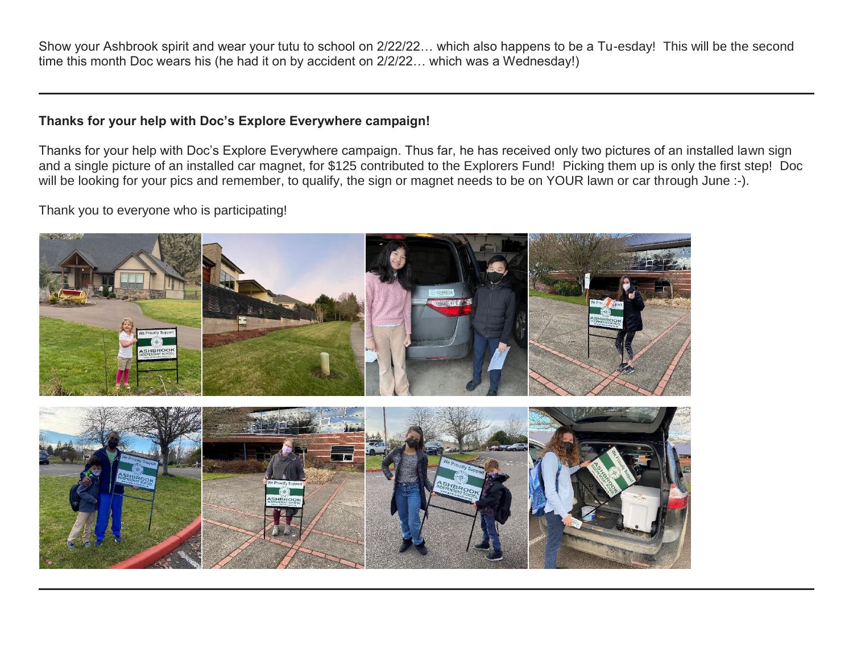Show your Ashbrook spirit and wear your tutu to school on 2/22/22… which also happens to be a Tu-esday! This will be the second time this month Doc wears his (he had it on by accident on 2/2/22… which was a Wednesday!)

#### **Thanks for your help with Doc's Explore Everywhere campaign!**

Thanks for your help with Doc's Explore Everywhere campaign. Thus far, he has received only two pictures of an installed lawn sign and a single picture of an installed car magnet, for \$125 contributed to the Explorers Fund! Picking them up is only the first step! Doc will be looking for your pics and remember, to qualify, the sign or magnet needs to be on YOUR lawn or car through June :-).

Thank you to everyone who is participating!

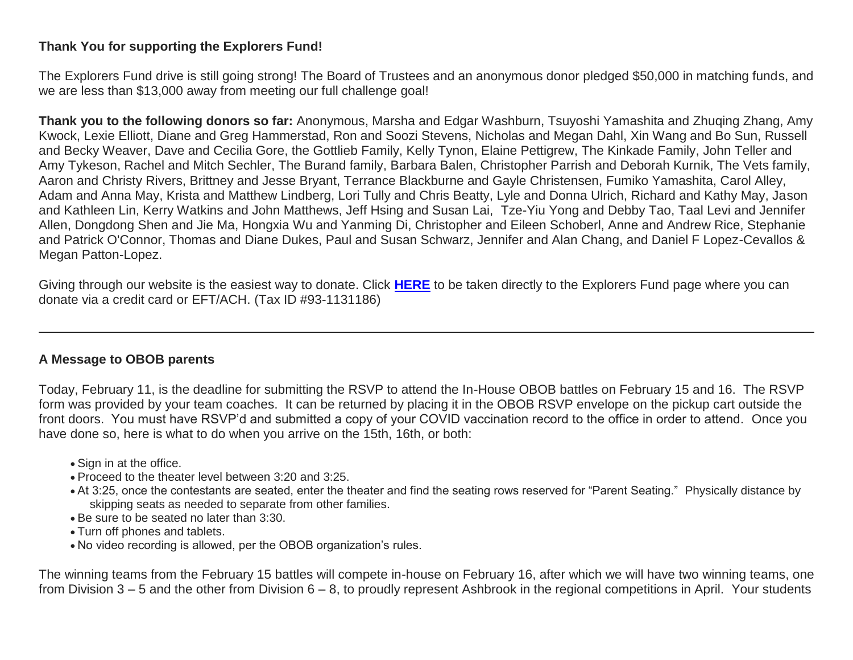# **Thank You for supporting the Explorers Fund!**

The Explorers Fund drive is still going strong! The Board of Trustees and an anonymous donor pledged \$50,000 in matching funds, and we are less than \$13,000 away from meeting our full challenge goal!

**Thank you to the following donors so far:** Anonymous, Marsha and Edgar Washburn, Tsuyoshi Yamashita and Zhuqing Zhang, Amy Kwock, Lexie Elliott, Diane and Greg Hammerstad, Ron and Soozi Stevens, Nicholas and Megan Dahl, Xin Wang and Bo Sun, Russell and Becky Weaver, Dave and Cecilia Gore, the Gottlieb Family, Kelly Tynon, Elaine Pettigrew, The Kinkade Family, John Teller and Amy Tykeson, Rachel and Mitch Sechler, The Burand family, Barbara Balen, Christopher Parrish and Deborah Kurnik, The Vets family, Aaron and Christy Rivers, Brittney and Jesse Bryant, Terrance Blackburne and Gayle Christensen, Fumiko Yamashita, Carol Alley, Adam and Anna May, Krista and Matthew Lindberg, Lori Tully and Chris Beatty, Lyle and Donna Ulrich, Richard and Kathy May, Jason and Kathleen Lin, Kerry Watkins and John Matthews, Jeff Hsing and Susan Lai, Tze-Yiu Yong and Debby Tao, Taal Levi and Jennifer Allen, Dongdong Shen and Jie Ma, Hongxia Wu and Yanming Di, Christopher and Eileen Schoberl, Anne and Andrew Rice, Stephanie and Patrick O'Connor, Thomas and Diane Dukes, Paul and Susan Schwarz, Jennifer and Alan Chang, and Daniel F Lopez-Cevallos & Megan Patton-Lopez.

Giving through our website is the easiest way to donate. Click **[HERE](http://link.mystudentsprogress.com/ls/click?upn=5XDbAd9r0ovG7GZusFBG8PaUF78UqItDelTGdwk7Y5YuTzHCPAjU3puEFCesf3czmLI6pjYvXrYopLnNSPnw-2Fg-3D-3DrZFG_1PndbFfBoQGSZbxwXHHEexw3B2F0fG-2BUmuXm6a-2BX-2Bzvu4c5aehcUrTY8GRA9UbiQYaX3fevA6wOdHNDh9DPEfyad9HP0LevCG6ZFP-2B3eSxFhxvOgvZKowUvQpx-2BFkZ2GrBAOf7XtCrrQAAuT3MxBcYgiegdKLKt-2F-2Bn13Ev1fnLv8tcRoVQykkLi5UQeC5Uij0AVOdwVRgPJNTRgHmT92LTa2CYG-2FCOaR3pznsd4mzrcrljF-2Fa7JtwGODNPtkkhPoGcoEPxS9c2lSr3fSZ9HO386BGykGjvVrhlJFCoVit0DIqo5ULyXjQLDrL3FEZJs8LFbGl8MI4-2FJJjDI8-2Bd-2BN8CXrOybjuEbt8eGZlp7NIdD4hUK2wnM7YUfIzlLWZ63g8Xwchn0OCtKae1s-2BgE7duJz3B-2Ffq2suZIN0tEyCMy7RezMoOz4R6xDJc80mOW8Pb)** to be taken directly to the Explorers Fund page where you can donate via a credit card or EFT/ACH. (Tax ID #93-1131186)

# **A Message to OBOB parents**

Today, February 11, is the deadline for submitting the RSVP to attend the In-House OBOB battles on February 15 and 16. The RSVP form was provided by your team coaches. It can be returned by placing it in the OBOB RSVP envelope on the pickup cart outside the front doors. You must have RSVP'd and submitted a copy of your COVID vaccination record to the office in order to attend. Once you have done so, here is what to do when you arrive on the 15th, 16th, or both:

- Sign in at the office.
- Proceed to the theater level between 3:20 and 3:25.
- At 3:25, once the contestants are seated, enter the theater and find the seating rows reserved for "Parent Seating." Physically distance by skipping seats as needed to separate from other families.
- Be sure to be seated no later than 3:30.
- Turn off phones and tablets.
- No video recording is allowed, per the OBOB organization's rules.

The winning teams from the February 15 battles will compete in-house on February 16, after which we will have two winning teams, one from Division 3 – 5 and the other from Division 6 – 8, to proudly represent Ashbrook in the regional competitions in April. Your students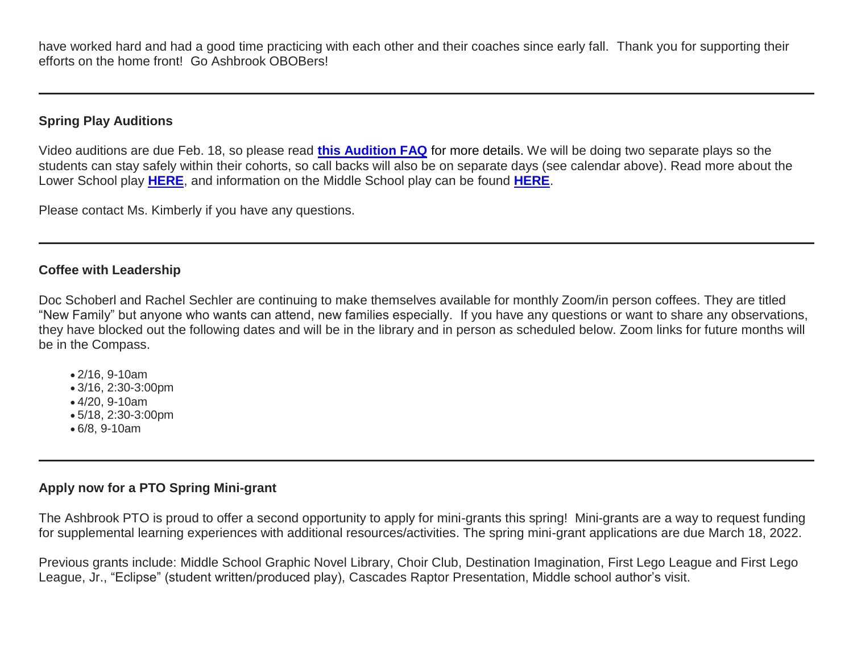have worked hard and had a good time practicing with each other and their coaches since early fall. Thank you for supporting their efforts on the home front! Go Ashbrook OBOBers!

# **Spring Play Auditions**

Video auditions are due Feb. 18, so please read **[this Audition FAQ](http://link.mystudentsprogress.com/ls/click?upn=VpBe6Z9t6RkEC4qAoQCerkRqVNRJCi4SE2bZPjoSvlxLaAy4C8kvUSQGKX5WXVA-2BkD7Xx4JKSlqvpxRwPUcI4jFpcMZ4LalsuDrhBCQS-2FloKmipGCKiwqKAGve0T5Px7TS3pkWo9WScEXcO-2FJmqB-2Fg-3D-3DXOXT_1PndbFfBoQGSZbxwXHHEexw3B2F0fG-2BUmuXm6a-2BX-2Bzvu4c5aehcUrTY8GRA9UbiQYaX3fevA6wOdHNDh9DPEf4vYZ6VAoTuezAkeHe2rgt2XGwriZgImI97OQBpjGrBHKhZN6QYOmqnXtvTZVr6elQTp-2FVyVj67qWHHcUvyjGIk72TJe4iC3wkNxbn0z-2FxrtaqmAPYMdJO0G5GPh1e0BbHJC-2BEDtjf3ly2EcL0QXHNVUNoYFq-2FGTRg4XRI9dqiIewsYV0pYYaWWi-2FF2IRTi8Vk2vKU3LaQxOe3AFrwjTmpMwZYikmb-2BYB9D841TubWGxRNpM0Vyd95jRTsVbQKz9PgeKaSGmxa-2BO59tBJs4AIMXeOnl6VIBAIImu4cdUFKmOUDMdT0LKi0mDa6RhA6cSCprDCIyzGHlnoXZSfgZHm2a-2Bfan1DsApi7iiSXiH-2FZt4)** for more details. We will be doing two separate plays so the students can stay safely within their cohorts, so call backs will also be on separate days (see calendar above). Read more about the Lower School play **[HERE](http://link.mystudentsprogress.com/ls/click?upn=VpBe6Z9t6RkEC4qAoQCerkRqVNRJCi4SE2bZPjoSvlxz-2B26uMf0AdZPJXdJMv-2FsPgQUVOBeHlYZHlzB83-2B-2FWbHGydqcQJkUOhJnEoQZON8-2FNyVDJQEN7-2FD-2Fi1aI99xU9IcseNhW1ASL2i1KbVPpcnQ-3D-3DuDIo_1PndbFfBoQGSZbxwXHHEexw3B2F0fG-2BUmuXm6a-2BX-2Bzvu4c5aehcUrTY8GRA9UbiQYaX3fevA6wOdHNDh9DPEf71x4lD0U-2FwbVne1mzAu-2FALWvwFd2UjK0-2BseAoOiOMwHPWH4HuOU-2BykVPkGXuC2ax9I6LDIwtIAD4FXY3lPrCHBHffrac6PdyvL5vLI0mTh5QGzURodL6s0yd92oE2HlQt2arTwKaBKHsVdVcr8hv0lrCljWBl-2B7y8gXn0-2BamZrSPk5pXVow4hzlrgg7UCjrHAxWXDUV6mEJ3JvC8BdRPQy5cV9aKnxmGT-2FNvgw6lm0HL9tDEJZMNurqYNXLeAuiuKCgd62yId3GSoVqfuWGR86VNgNcJ9wzbIMwXf7peabX4nZmBxMDjgIazo0fFH1-2FUGD06x1mwX9825inOZ5rImUTrYyFqCNSOW4wUnZPivj0)**, and information on the Middle School play can be found **[HERE](http://link.mystudentsprogress.com/ls/click?upn=VpBe6Z9t6RkEC4qAoQCerkRqVNRJCi4SE2bZPjoSvlxb9jGwyOOQ0riBsjDrfk3vXgA-2FW38xH-2FXIp6N7Hzfqws6Y0EBynW62ZZWoGD8jdNq3FALrdH4-2B1GXnThTc9Gmgj5rFJRBmRD-2B3f0TfQFj-2FfQ-3D-3DxwI1_1PndbFfBoQGSZbxwXHHEexw3B2F0fG-2BUmuXm6a-2BX-2Bzvu4c5aehcUrTY8GRA9UbiQYaX3fevA6wOdHNDh9DPEfw8P1mAYmOtHVuq7HPrBkGIoD0J9xjrBaeYunoyLj-2BpKYtIadpb-2BxePh30euUUNZedOsRvCWwbz95mctTQkc98JYoY3exXtm-2FdHm0joZ1rxNiDA-2BrvyE4KL5iCdqhrjU5nzRt-2BPr9pAWxNgGx0NlJMpxB56ImZqj8B1ggRVGpDEpx0LPK7GLngH630taIPJKCRlMKlVXOjL-2FXqMOZjPzJr-2Bc1el0SEL9cZXt60mKIrFjqvYxZkFoXGFUK63rfn7czazm0spzyfSlUBhMMyrWtiGlCdMdQZ4ujGSBp3-2BmpiLvj87i1TfR4ya9LuRjG-2BFNS-2FoLIyfLcWpUcmWmZE-2BWX9SsLhi2Boa7waP7FW4W8m4O)**.

Please contact Ms. Kimberly if you have any questions.

# **Coffee with Leadership**

Doc Schoberl and Rachel Sechler are continuing to make themselves available for monthly Zoom/in person coffees. They are titled "New Family" but anyone who wants can attend, new families especially. If you have any questions or want to share any observations, they have blocked out the following dates and will be in the library and in person as scheduled below. Zoom links for future months will be in the Compass.

- 2/16, 9-10am
- 3/16, 2:30-3:00pm
- 4/20, 9-10am
- 5/18, 2:30-3:00pm
- 6/8, 9-10am

# **Apply now for a PTO Spring Mini-grant**

The Ashbrook PTO is proud to offer a second opportunity to apply for mini-grants this spring! Mini-grants are a way to request funding for supplemental learning experiences with additional resources/activities. The spring mini-grant applications are due March 18, 2022.

Previous grants include: Middle School Graphic Novel Library, Choir Club, Destination Imagination, First Lego League and First Lego League, Jr., "Eclipse" (student written/produced play), Cascades Raptor Presentation, Middle school author's visit.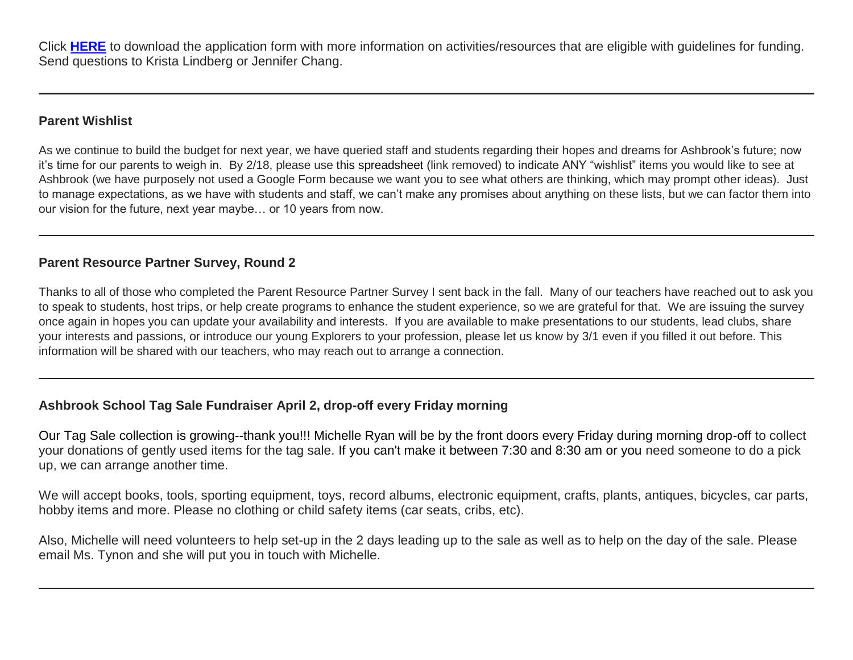Click **[HERE](http://link.mystudentsprogress.com/ls/click?upn=n7jYKe39nC4PrVAw2BzaOolgU5XUleaJ61qfvNJxTW3uoi8RFzNYUfSc1qXdqajA34djZWrxIBJBxzp2whbybvqIYp3dDOkCDgKesziBdClenDsTc-2FUGtZuJNxIh5RAijA4c-2FxLDZKxjmas3d9mUCg2OGUEiTYCsalquiRQy9vw-3DNryq_1PndbFfBoQGSZbxwXHHEexw3B2F0fG-2BUmuXm6a-2BX-2Bzvu4c5aehcUrTY8GRA9UbiQYaX3fevA6wOdHNDh9DPEf9ovsvGe6biDiP-2BSXV6QXp85h0OyThVpNkaK3K4e-2B-2FA0usuMpm-2Bumr5-2BAubcp6MX-2Fe3fVbKQH2OEKnqWJTrZJGIbFtWcnT0324Gckbd6MZ3QTzqnjP34wVaxGJ905j1g4Rtl238KbTVYYHP-2BZtDBizQYpHkgXx-2BVtvzcqvLEAeB-2F5q5-2FJ0Kg8m6lUil29JYSEYYX42-2FchaDU7HdBRRWGrURTzY0-2B3vnxPyhTEj1Yxpa9veFnk2CEajAbV3E5MHezIpBQFq3UMr6Q1-2Ft6rRo9-2FKqXfD2f2Yy4uu73PtMv9hlBVGqtG9Dt9WiUQ6GHCHlrnuju2vig357mW1gZjaorMjgNXcTtKSLmlYEJ9XmDaN20)** to download the application form with more information on activities/resources that are eligible with guidelines for funding. Send questions to Krista Lindberg or Jennifer Chang.

# **Parent Wishlist**

As we continue to build the budget for next year, we have queried staff and students regarding their hopes and dreams for Ashbrook's future; now it's time for our parents to weigh in. By 2/18, please use this spreadsheet (link removed) to indicate ANY "wishlist" items you would like to see at Ashbrook (we have purposely not used a Google Form because we want you to see what others are thinking, which may prompt other ideas). Just to manage expectations, as we have with students and staff, we can't make any promises about anything on these lists, but we can factor them into our vision for the future, next year maybe… or 10 years from now.

# **Parent Resource Partner Survey, Round 2**

Thanks to all of those who completed the Parent Resource Partner Survey I sent back in the fall. Many of our teachers have reached out to ask you to speak to students, host trips, or help create programs to enhance the student experience, so we are grateful for that. We are issuing the survey once again in hopes you can update your availability and interests. If you are available to make presentations to our students, lead clubs, share your interests and passions, or introduce our young Explorers to your profession, please let us know by 3/1 even if you filled it out before. This information will be shared with our teachers, who may reach out to arrange a connection.

# **Ashbrook School Tag Sale Fundraiser April 2, drop-off every Friday morning**

Our Tag Sale collection is growing--thank you!!! Michelle Ryan will be by the front doors every Friday during morning drop-off to collect your donations of gently used items for the tag sale. If you can't make it between 7:30 and 8:30 am or you need someone to do a pick up, we can arrange another time.

We will accept books, tools, sporting equipment, toys, record albums, electronic equipment, crafts, plants, antiques, bicycles, car parts, hobby items and more. Please no clothing or child safety items (car seats, cribs, etc).

Also, Michelle will need volunteers to help set-up in the 2 days leading up to the sale as well as to help on the day of the sale. Please email Ms. Tynon and she will put you in touch with Michelle.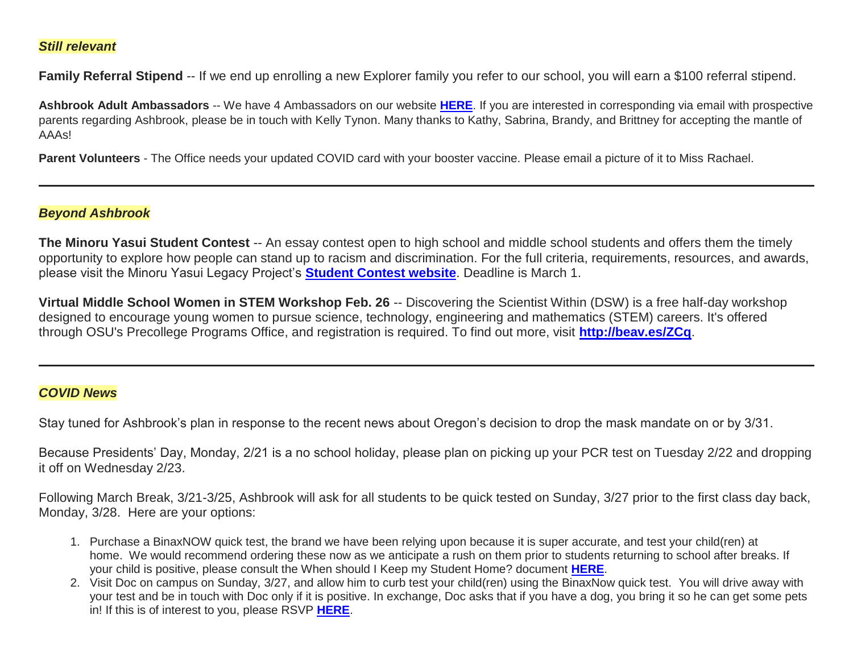#### *Still relevant*

**Family Referral Stipend** -- If we end up enrolling a new Explorer family you refer to our school, you will earn a \$100 referral stipend.

**Ashbrook Adult Ambassadors** -- We have 4 Ambassadors on our website **[HERE](http://link.mystudentsprogress.com/ls/click?upn=5XDbAd9r0ovG7GZusFBG8PaUF78UqItDelTGdwk7Y5avyNmvH-2F-2BAj2asxP-2B-2BAJiKXbDbngZWh42DNvOHgc5oAw-3D-3D1R2N_1PndbFfBoQGSZbxwXHHEexw3B2F0fG-2BUmuXm6a-2BX-2Bzvu4c5aehcUrTY8GRA9UbiQYaX3fevA6wOdHNDh9DPEf2mGUvCtyEEWclQwCm3iEP-2F0t2kjroO-2F1zk0mNem-2FowwyO6OiJhHHnag22zbrniCvgI9-2BcekVDu723rL6pTDDUHqA1HIF63t4haAxS3uWnBjZ09hypGNuOr9RzSgYTZjy-2BTp26Ht-2B485Xk3B7-2BGe7W3GMxr9x93Vl4-2FDuOSdCkpD6n6O5aLQRm-2BYAjCj-2F6NwyepAnh-2F9-2FIA9w0As18Es0H8u31yZc7xsRqahORGfoRK45m56gOco5lk5co03wATJACdMYlQQP832VP1yXKE6r0Ur50JfKkyeTrGbF0k7r59Z3-2BI1rdV0GEDpakGxlyRSp5y5r6fAfZNy4fGiwI0sHEelrc7byNAn4OmUO7rQnMb5)**. If you are interested in corresponding via email with prospective parents regarding Ashbrook, please be in touch with Kelly Tynon. Many thanks to Kathy, Sabrina, Brandy, and Brittney for accepting the mantle of AAAs!

**Parent Volunteers** - The Office needs your updated COVID card with your booster vaccine. Please email a picture of it to Miss Rachael.

#### *Beyond Ashbrook*

**The Minoru Yasui Student Contest** -- An essay contest open to high school and middle school students and offers them the timely opportunity to explore how people can stand up to racism and discrimination. For the full criteria, requirements, resources, and awards, please visit the Minoru Yasui Legacy Project's **[Student Contest website](http://link.mystudentsprogress.com/ls/click?upn=t3AI3kjK1Pyk9qPfHnOahelBVVSIlRAa3GeSLMbkINmgHr3guxrPuqfp-2Bh-2FJW4nCZ4g8Gi3XkGXC-2FKATZbsSvk76vij5gCHstoz-2FhRwWAXGWZxcWnUVjdZxPSMuVO6bvUvuTZ-2BYrxk3JE8TGo9jApLjwgqEQXg60xT679dS392ofbcnkgoXFCJlzd-2Fm-2Bxol3-2BT-2F-2By6Pht-2BH9aeUH2wo8GxNYWOyyqQzNX5Eq2oPgdykDYvJvYK9H0c8Ej0KA5TCRtnynT4Ntj3CtT66vBh7WZarJ-2F7naNHmUHt8ytGvFnvLULRXAoW2Ng8J15QHiM0fpGecBEyFqmxPd1XySMLQjMfZBkvusPg-2FY5n-2FiEdh63p0YOVGHBfObX-2BmZSD7GrUp-2B7sl8HCGwEfCz36UwJZ5sLFw8eQ2W9tb56xE7DqSgQhDZXDK21mZVy-2BKNvsGnYAjkdrME3myDTmwIiYvhynUxQP5S86bMPEVMVsoo7ZfZnLiUUjBalNdoTLVAdhKxLg46VXg7LxlGcTDuWZDADfB2-2Bs09ByGZ5YExFJAdrXkhpjo-3D45WO_1PndbFfBoQGSZbxwXHHEexw3B2F0fG-2BUmuXm6a-2BX-2Bzvu4c5aehcUrTY8GRA9UbiQYaX3fevA6wOdHNDh9DPEf3Kjzy3zr3IVkd6VmDKVHKx67s97uvVFUeafWmhVaJnx1cyLrFeO1egB94JpJpR0AZxO2LFEdBcoWDMJU7VXZ6bMKzdJj3ztB-2BdlbE6wDcN0gE0d9dPL0fxO32vuKu7eTOt6myPosOthtD6BcwnW9nc-2FQgbzLNgdY3QI03U0-2BgvDc47tG8JLLQWkNK4X6tZs8TI2lN8YGU13AcafSvCEXtmt3i2kyUxhEsHm9p89y6PDC7dwRbzcf79kv8xXUS9Rhjq2ueaiCrNlgonfTqa68wxTkMPsClJaL61I3is4roPnJT9Zn3QsornzBa0Q2a0ViNBPDgefJa8sRQy-2FlCfekw9mAEy90kRvNM29F81fJRQ4)**. Deadline is March 1.

**Virtual Middle School Women in STEM Workshop Feb. 26** -- Discovering the Scientist Within (DSW) is a free half-day workshop designed to encourage young women to pursue science, technology, engineering and mathematics (STEM) careers. It's offered through OSU's Precollege Programs Office, and registration is required. To find out more, visit **[http://beav.es/ZCq](http://link.mystudentsprogress.com/ls/click?upn=bjGxI0kUTWYnhVKIlPu2CrwfiGxf2BdMsi-2BkMhlKDws-3DOsV4_1PndbFfBoQGSZbxwXHHEexw3B2F0fG-2BUmuXm6a-2BX-2Bzvu4c5aehcUrTY8GRA9UbiQYaX3fevA6wOdHNDh9DPEf9Iill3lXrcXJOCjYf5zH58PK5C4GRrJRWMkC8QSu4j-2B6nD85LMz2Zhj3XrQw3TYjQ6j1IO8JyVDwWDRp-2FaSCmY9hNWqAwHChP50cc0bJTCNR6wKbgF7va3tdC-2FKUielvhev2pwcc4azWSf4c32futDTzwaljeVENULsi-2FkI6tq5Ex-2F0ltvQPrVHiZn8HdP2i4GaaVsyM7grY3crUWQFdxvtMH1iXbhKkazbw85ga8EYMy3WgyvdCj1ov74Yso-2BHcMu-2F6v2PU5c1OfnQ0ryTbv31zbQWmWyhRrXv5bnVtXbNvHYHWN8As0M8eub-2BhYggaJaiteMgt5RcJlyjuSJ49UkPcGb8266Ocr-2FZYr5KtEPS)**.

#### *COVID News*

Stay tuned for Ashbrook's plan in response to the recent news about Oregon's decision to drop the mask mandate on or by 3/31.

Because Presidents' Day, Monday, 2/21 is a no school holiday, please plan on picking up your PCR test on Tuesday 2/22 and dropping it off on Wednesday 2/23.

Following March Break, 3/21-3/25, Ashbrook will ask for all students to be quick tested on Sunday, 3/27 prior to the first class day back, Monday, 3/28. Here are your options:

- 1. Purchase a BinaxNOW quick test, the brand we have been relying upon because it is super accurate, and test your child(ren) at home. We would recommend ordering these now as we anticipate a rush on them prior to students returning to school after breaks. If your child is positive, please consult the When should I Keep my Student Home? document **[HERE](http://link.mystudentsprogress.com/ls/click?upn=n7jYKe39nC4PrVAw2BzaOolgU5XUleaJ61qfvNJxTW3uoi8RFzNYUfSc1qXdqajA34djZWrxIBJBxzp2whbybvqIYp3dDOkCDgKesziBdCkbSUqvHCtdRE3qWe2JMQLJ7wWGMZ0YNDIacEbO6vIao8j9O426wgFSZKGWI8uGmokkr4i6cvMMkm6QJqL1ENmRibluqIZxq9g4EKi1ud-2FH6eha18fm7S-2Bp2AmSJ0I8Grs-3DQ_Zr_1PndbFfBoQGSZbxwXHHEexw3B2F0fG-2BUmuXm6a-2BX-2Bzvu4c5aehcUrTY8GRA9UbiQYaX3fevA6wOdHNDh9DPEfzvtj8bY4MjmLen69jvM98L34Ngp4l0KdTLaVMiTtvxKXwYb0TX1uGfCDxWWxonQxL4BjpOjvYUIIXfpW-2F-2BVX3A4YzzV4XAwg0DSQaVwsjq32z1cs-2BdXVUY6Jmv5v-2BvMa0kQgBYTaIDhWDPncyn0qlgnwp9UQrejUwV9p8VBX0mD1-2BSF0RWZmYZeSbEsR0VQQtQsdXkmn4qYZI6NcV9PGUf3-2FpkVW2Cpg4i9ScivOjiFNrou-2F-2F7xxh-2FZDfmHfwWhj0hItYFk7ggHH8bOt-2B-2FsLi-2FqZvm00-2BSUPpekPEK1L7SGVjHwdj1sGoR6-2FL53XLWMp8sfeKlfDa-2FwldvHIZvPx5Cfzs8cCpfcdJ1rvlWNnhQ5)**.
- 2. Visit Doc on campus on Sunday, 3/27, and allow him to curb test your child(ren) using the BinaxNow quick test. You will drive away with your test and be in touch with Doc only if it is positive. In exchange, Doc asks that if you have a dog, you bring it so he can get some pets in! If this is of interest to you, please RSVP **[HERE](http://link.mystudentsprogress.com/ls/click?upn=VpBe6Z9t6RkEC4qAoQCeri-2FFFh7llDqKppeMq4GAyjRI-2BZwJpsN3tIKNl-2B5alfIZaLH9AxrZ75znSxWp1R8Pq7SFFLJz7uSmJcsQu8rJPinj3EsQ73e0Gg67ZhD759OO-M_l_1PndbFfBoQGSZbxwXHHEexw3B2F0fG-2BUmuXm6a-2BX-2Bzvu4c5aehcUrTY8GRA9UbiQYaX3fevA6wOdHNDh9DPEfwiJKUsEnqXSPqmMXwOQOQiSMEjE2Fkg7i-2FJvQ6Q8M47mPAp3gOO6mdrePWyQO4QTx-2FUXbaauWcpqg-2BtR4Onp-2FQwB6JtPWpTcyS3ktx4LQ5JNKIjRUYpv4oz8fSHbKnK8UnRKP5BlNZlT-2Fe7oLXomPG-2FxOCsG7FIOoCdllLkV3opLyU4g0Mf4diZ4YTktBrzzpmBKvH4e7p1lwXoNAO6wmWGOJYQZ7r7FJ5K69rTo9CBV-2FmKzYXwuHNX-2B39Rke7WEUsKfkcNvZukFdR3BrE4EH7M-2FoVDZ-2FGBpYJu4v8ZEaQPeEMTm-2B57uzN6nNe2glWBAGDK6DMXjrhN0Sm8lInsLkIe1u3xwzlnLAjm0Q4X9xPq)**.